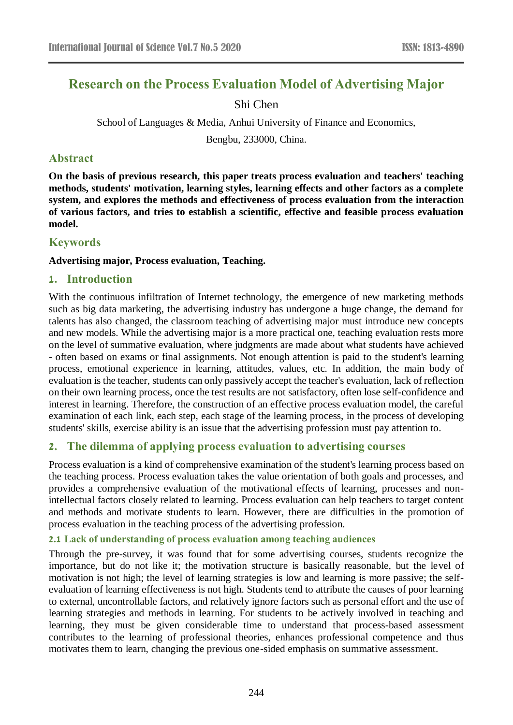# **Research on the Process Evaluation Model of Advertising Major**

# Shi Chen

School of Languages & Media, Anhui University of Finance and Economics,

Bengbu, 233000, China.

### **Abstract**

**On the basis of previous research, this paper treats process evaluation and teachers' teaching methods, students' motivation, learning styles, learning effects and other factors as a complete system, and explores the methods and effectiveness of process evaluation from the interaction of various factors, and tries to establish a scientific, effective and feasible process evaluation model.**

# **Keywords**

### **Advertising major, Process evaluation, Teaching.**

# **1. Introduction**

With the continuous infiltration of Internet technology, the emergence of new marketing methods such as big data marketing, the advertising industry has undergone a huge change, the demand for talents has also changed, the classroom teaching of advertising major must introduce new concepts and new models. While the advertising major is a more practical one, teaching evaluation rests more on the level of summative evaluation, where judgments are made about what students have achieved - often based on exams or final assignments. Not enough attention is paid to the student's learning process, emotional experience in learning, attitudes, values, etc. In addition, the main body of evaluation is the teacher, students can only passively accept the teacher's evaluation, lack of reflection on their own learning process, once the test results are not satisfactory, often lose self-confidence and interest in learning. Therefore, the construction of an effective process evaluation model, the careful examination of each link, each step, each stage of the learning process, in the process of developing students' skills, exercise ability is an issue that the advertising profession must pay attention to.

# **2. The dilemma of applying process evaluation to advertising courses**

Process evaluation is a kind of comprehensive examination of the student's learning process based on the teaching process. Process evaluation takes the value orientation of both goals and processes, and provides a comprehensive evaluation of the motivational effects of learning, processes and nonintellectual factors closely related to learning. Process evaluation can help teachers to target content and methods and motivate students to learn. However, there are difficulties in the promotion of process evaluation in the teaching process of the advertising profession.

### **2.1 Lack of understanding of process evaluation among teaching audiences**

Through the pre-survey, it was found that for some advertising courses, students recognize the importance, but do not like it; the motivation structure is basically reasonable, but the level of motivation is not high; the level of learning strategies is low and learning is more passive; the selfevaluation of learning effectiveness is not high. Students tend to attribute the causes of poor learning to external, uncontrollable factors, and relatively ignore factors such as personal effort and the use of learning strategies and methods in learning. For students to be actively involved in teaching and learning, they must be given considerable time to understand that process-based assessment contributes to the learning of professional theories, enhances professional competence and thus motivates them to learn, changing the previous one-sided emphasis on summative assessment.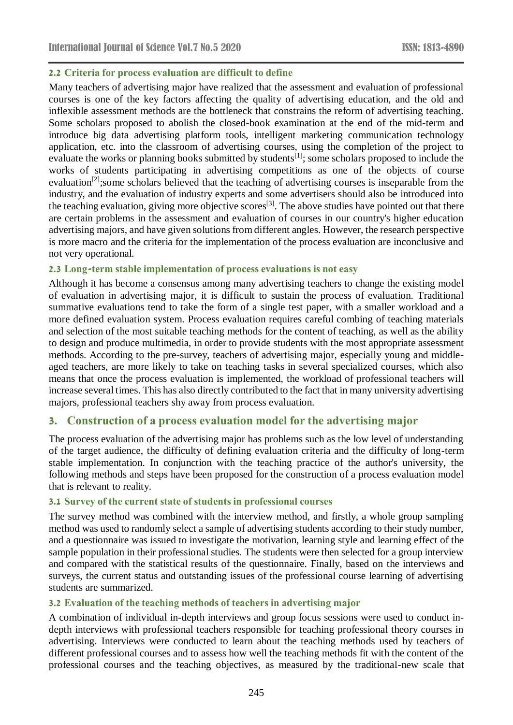### **2.2 Criteria for process evaluation are difficult to define**

Many teachers of advertising major have realized that the assessment and evaluation of professional courses is one of the key factors affecting the quality of advertising education, and the old and inflexible assessment methods are the bottleneck that constrains the reform of advertising teaching. Some scholars proposed to abolish the closed-book examination at the end of the mid-term and introduce big data advertising platform tools, intelligent marketing communication technology application, etc. into the classroom of advertising courses, using the completion of the project to evaluate the works or planning books submitted by students<sup>[1]</sup>; some scholars proposed to include the works of students participating in advertising competitions as one of the objects of course evaluation<sup>[2]</sup>;some scholars believed that the teaching of advertising courses is inseparable from the industry, and the evaluation of industry experts and some advertisers should also be introduced into the teaching evaluation, giving more objective scores<sup>[3]</sup>. The above studies have pointed out that there are certain problems in the assessment and evaluation of courses in our country's higher education advertising majors, and have given solutions from different angles. However, the research perspective is more macro and the criteria for the implementation of the process evaluation are inconclusive and not very operational.

### **2.3 Long-term stable implementation of process evaluations is not easy**

Although it has become a consensus among many advertising teachers to change the existing model of evaluation in advertising major, it is difficult to sustain the process of evaluation. Traditional summative evaluations tend to take the form of a single test paper, with a smaller workload and a more defined evaluation system. Process evaluation requires careful combing of teaching materials and selection of the most suitable teaching methods for the content of teaching, as well as the ability to design and produce multimedia, in order to provide students with the most appropriate assessment methods. According to the pre-survey, teachers of advertising major, especially young and middleaged teachers, are more likely to take on teaching tasks in several specialized courses, which also means that once the process evaluation is implemented, the workload of professional teachers will increase several times. This has also directly contributed to the fact that in many university advertising majors, professional teachers shy away from process evaluation.

### **3. Construction of a process evaluation model for the advertising major**

The process evaluation of the advertising major has problems such as the low level of understanding of the target audience, the difficulty of defining evaluation criteria and the difficulty of long-term stable implementation. In conjunction with the teaching practice of the author's university, the following methods and steps have been proposed for the construction of a process evaluation model that is relevant to reality.

### **3.1 Survey of the current state of students in professional courses**

The survey method was combined with the interview method, and firstly, a whole group sampling method was used to randomly select a sample of advertising students according to their study number, and a questionnaire was issued to investigate the motivation, learning style and learning effect of the sample population in their professional studies. The students were then selected for a group interview and compared with the statistical results of the questionnaire. Finally, based on the interviews and surveys, the current status and outstanding issues of the professional course learning of advertising students are summarized.

### **3.2 Evaluation of the teaching methods of teachers in advertising major**

A combination of individual in-depth interviews and group focus sessions were used to conduct indepth interviews with professional teachers responsible for teaching professional theory courses in advertising. Interviews were conducted to learn about the teaching methods used by teachers of different professional courses and to assess how well the teaching methods fit with the content of the professional courses and the teaching objectives, as measured by the traditional-new scale that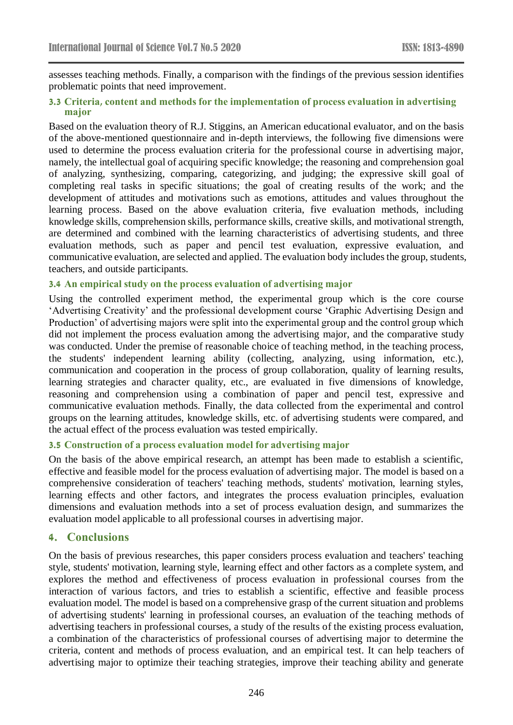assesses teaching methods. Finally, a comparison with the findings of the previous session identifies problematic points that need improvement.

#### **3.3 Criteria, content and methods for the implementation of process evaluation in advertising major**

Based on the evaluation theory of R.J. Stiggins, an American educational evaluator, and on the basis of the above-mentioned questionnaire and in-depth interviews, the following five dimensions were used to determine the process evaluation criteria for the professional course in advertising major, namely, the intellectual goal of acquiring specific knowledge; the reasoning and comprehension goal of analyzing, synthesizing, comparing, categorizing, and judging; the expressive skill goal of completing real tasks in specific situations; the goal of creating results of the work; and the development of attitudes and motivations such as emotions, attitudes and values throughout the learning process. Based on the above evaluation criteria, five evaluation methods, including knowledge skills, comprehension skills, performance skills, creative skills, and motivational strength, are determined and combined with the learning characteristics of advertising students, and three evaluation methods, such as paper and pencil test evaluation, expressive evaluation, and communicative evaluation, are selected and applied. The evaluation body includes the group, students, teachers, and outside participants.

#### **3.4 An empirical study on the process evaluation of advertising major**

Using the controlled experiment method, the experimental group which is the core course 'Advertising Creativity' and the professional development course 'Graphic Advertising Design and Production' of advertising majors were split into the experimental group and the control group which did not implement the process evaluation among the advertising major, and the comparative study was conducted. Under the premise of reasonable choice of teaching method, in the teaching process, the students' independent learning ability (collecting, analyzing, using information, etc.), communication and cooperation in the process of group collaboration, quality of learning results, learning strategies and character quality, etc., are evaluated in five dimensions of knowledge, reasoning and comprehension using a combination of paper and pencil test, expressive and communicative evaluation methods. Finally, the data collected from the experimental and control groups on the learning attitudes, knowledge skills, etc. of advertising students were compared, and the actual effect of the process evaluation was tested empirically.

### **3.5 Construction of a process evaluation model for advertising major**

On the basis of the above empirical research, an attempt has been made to establish a scientific, effective and feasible model for the process evaluation of advertising major. The model is based on a comprehensive consideration of teachers' teaching methods, students' motivation, learning styles, learning effects and other factors, and integrates the process evaluation principles, evaluation dimensions and evaluation methods into a set of process evaluation design, and summarizes the evaluation model applicable to all professional courses in advertising major.

### **4. Conclusions**

On the basis of previous researches, this paper considers process evaluation and teachers' teaching style, students' motivation, learning style, learning effect and other factors as a complete system, and explores the method and effectiveness of process evaluation in professional courses from the interaction of various factors, and tries to establish a scientific, effective and feasible process evaluation model. The model is based on a comprehensive grasp of the current situation and problems of advertising students' learning in professional courses, an evaluation of the teaching methods of advertising teachers in professional courses, a study of the results of the existing process evaluation, a combination of the characteristics of professional courses of advertising major to determine the criteria, content and methods of process evaluation, and an empirical test. It can help teachers of advertising major to optimize their teaching strategies, improve their teaching ability and generate